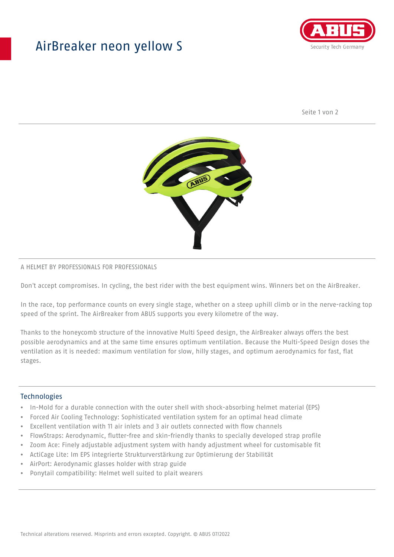## AirBreaker neon yellow S



Seite 1 von 2



#### A HELMET BY PROFESSIONALS FOR PROFESSIONALS

Don't accept compromises. In cycling, the best rider with the best equipment wins. Winners bet on the AirBreaker.

In the race, top performance counts on every single stage, whether on a steep uphill climb or in the nerve-racking top speed of the sprint. The AirBreaker from ABUS supports you every kilometre of the way.

Thanks to the honeycomb structure of the innovative Multi Speed design, the AirBreaker always offers the best possible aerodynamics and at the same time ensures optimum ventilation. Because the Multi-Speed Design doses the ventilation as it is needed: maximum ventilation for slow, hilly stages, and optimum aerodynamics for fast, flat stages.

#### **Technologies**

- In-Mold for a durable connection with the outer shell with shock-absorbing helmet material (EPS)
- Forced Air Cooling Technology: Sophisticated ventilation system for an optimal head climate
- Excellent ventilation with 11 air inlets and 3 air outlets connected with flow channels
- FlowStraps: Aerodynamic, flutter-free and skin-friendly thanks to specially developed strap profile
- Zoom Ace: Finely adjustable adjustment system with handy adjustment wheel for customisable fit
- ActiCage Lite: Im EPS integrierte Strukturverstärkung zur Optimierung der Stabilität
- AirPort: Aerodynamic glasses holder with strap guide
- Ponytail compatibility: Helmet well suited to plait wearers